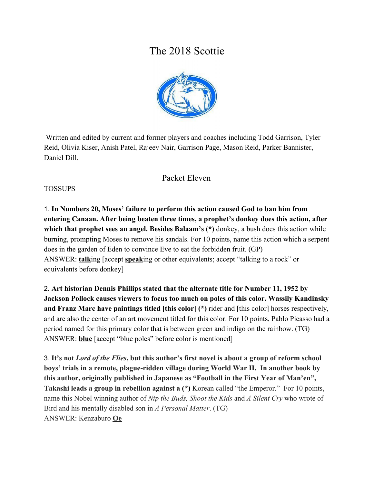# The 2018 Scottie



 Written and edited by current and former players and coaches including Todd Garrison, Tyler Reid, Olivia Kiser, Anish Patel, Rajeev Nair, Garrison Page, Mason Reid, Parker Bannister, Daniel Dill.

#### Packet Eleven

#### TOSSUPS

1. **In Numbers 20, Moses' failure to perform this action caused God to ban him from entering Canaan. After being beaten three times, a prophet's donkey does this action, after which that prophet sees an angel. Besides Balaam's (\*)** donkey, a bush does this action while burning, prompting Moses to remove his sandals. For 10 points, name this action which a serpent does in the garden of Eden to convince Eve to eat the forbidden fruit. (GP) ANSWER: **talk**ing [accept **speak**ing or other equivalents; accept "talking to a rock" or equivalents before donkey]

2. **Art historian Dennis Phillips stated that the alternate title for Number 11, 1952 by Jackson Pollock causes viewers to focus too much on poles of this color. Wassily Kandinsky and Franz Marc have paintings titled [this color] (\*)** rider and [this color] horses respectively, and are also the center of an art movement titled for this color. For 10 points, Pablo Picasso had a period named for this primary color that is between green and indigo on the rainbow. (TG) ANSWER: **blue** [accept "blue poles" before color is mentioned]

3. **It's not** *Lord of the Flies***, but this author's first novel is about a group of reform school boys' trials in a remote, plague-ridden village during World War II. In another book by this author, originally published in Japanese as "Football in the First Year of Man'en", Takashi leads a group in rebellion against a (\*)** Korean called "the Emperor." For 10 points, name this Nobel winning author of *Nip the Buds, Shoot the Kids* and *A Silent Cry* who wrote of Bird and his mentally disabled son in *A Personal Matter*. (TG) ANSWER: Kenzaburo **Oe**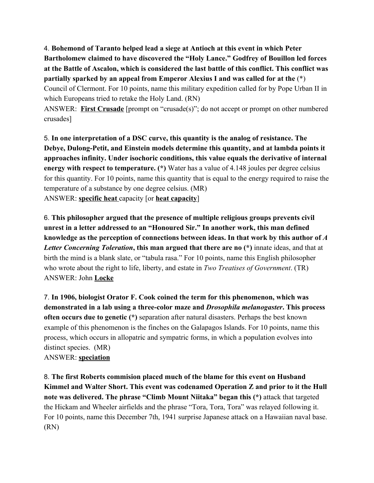4. **Bohemond of Taranto helped lead a siege at Antioch at this event in which Peter Bartholomew claimed to have discovered the "Holy Lance." Godfrey of Bouillon led forces at the Battle of Ascalon, which is considered the last battle of this conflict. This conflict was partially sparked by an appeal from Emperor Alexius I and was called for at the** (\*) Council of Clermont. For 10 points, name this military expedition called for by Pope Urban II in which Europeans tried to retake the Holy Land. (RN)

ANSWER: **First Crusade** [prompt on "crusade(s)"; do not accept or prompt on other numbered crusades]

5. **In one interpretation of a DSC curve, this quantity is the analog of resistance. The Debye, Dulong-Petit, and Einstein models determine this quantity, and at lambda points it approaches infinity. Under isochoric conditions, this value equals the derivative of internal energy with respect to temperature. (\*)** Water has a value of 4.148 joules per degree celsius for this quantity. For 10 points, name this quantity that is equal to the energy required to raise the temperature of a substance by one degree celsius. (MR) ANSWER: **specific heat** capacity [or **heat capacity**]

6. **This philosopher argued that the presence of multiple religious groups prevents civil unrest in a letter addressed to an "Honoured Sir." In another work, this man defined knowledge as the perception of connections between ideas. In that work by this author of** *A Letter Concerning Toleration***, this man argued that there are no (\*)** innate ideas, and that at birth the mind is a blank slate, or "tabula rasa." For 10 points, name this English philosopher who wrote about the right to life, liberty, and estate in *Two Treatises of Government*. (TR) ANSWER: John **Locke**

7. **In 1906, biologist Orator F. Cook coined the term for this phenomenon, which was demonstrated in a lab using a three-color maze and** *Drosophila melanogaster***. This process often occurs due to genetic (\*)** separation after natural disasters. Perhaps the best known example of this phenomenon is the finches on the Galapagos Islands. For 10 points, name this process, which occurs in allopatric and sympatric forms, in which a population evolves into distinct species. (MR) ANSWER: **speciation**

8. **The first Roberts commision placed much of the blame for this event on Husband Kimmel and Walter Short. This event was codenamed Operation Z and prior to it the Hull note was delivered. The phrase "Climb Mount Niitaka" began this (\*)** attack that targeted the Hickam and Wheeler airfields and the phrase "Tora, Tora, Tora" was relayed following it. For 10 points, name this December 7th, 1941 surprise Japanese attack on a Hawaiian naval base. (RN)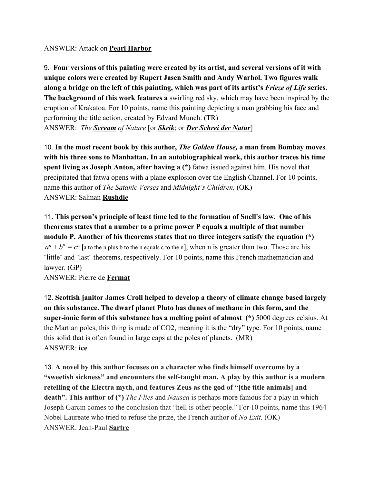#### ANSWER: Attack on **Pearl Harbor**

9. **Four versions of this painting were created by its artist, and several versions of it with unique colors were created by Rupert Jasen Smith and Andy Warhol. Two figures walk along a bridge on the left of this painting, which was part of its artist's** *Frieze of Life* **series. The background of this work features a** swirling red sky, which may have been inspired by the eruption of Krakatoa. For 10 points, name this painting depicting a man grabbing his face and performing the title action, created by Edvard Munch. (TR) ANSWER: *The Scream of Nature* [or *Skrik*; or *Der Schrei der Natur*]

10. **In the most recent book by this author,** *The Golden House,* **a man from Bombay moves with his three sons to Manhattan. In an autobiographical work, this author traces his time spent living as Joseph Anton, after having a (\*)** fatwa issued against him. His novel that precipitated that fatwa opens with a plane explosion over the English Channel. For 10 points, name this author of *The Satanic Verses* and *Midnight's Children.* (OK) ANSWER: Salman **Rushdie**

11. **This person's principle of least time led to the formation of Snell's law. One of his theorems states that a number to a prime power P equals a multiple of that number modulo P. Another of his theorems states that no three integers satisfy the equation (\*)**  $a^n + b^n = c^n$  [a to the n plus b to the n equals c to the n], when n is greater than two. Those are his ¨little¨ and ¨last¨ theorems, respectively. For 10 points, name this French mathematician and lawyer. (GP)

ANSWER: Pierre de **Fermat**

12. **Scottish janitor James Croll helped to develop a theory of climate change based largely on this substance. The dwarf planet Pluto has dunes of methane in this form, and the super-ionic form of this substance has a melting point of almost (\*)** 5000 degrees celsius. At the Martian poles, this thing is made of CO2, meaning it is the "dry" type. For 10 points, name this solid that is often found in large caps at the poles of planets. (MR) ANSWER: **ice**

13. **A novel by this author focuses on a character who finds himself overcome by a "sweetish sickness" and encounters the self-taught man. A play by this author is a modern retelling of the Electra myth, and features Zeus as the god of "[the title animals] and death". This author of (\*)** *The Flies* and *Nausea* is perhaps more famous for a play in which Joseph Garcin comes to the conclusion that "hell is other people." For 10 points, name this 1964 Nobel Laureate who tried to refuse the prize, the French author of *No Exit.* (OK) ANSWER: Jean-Paul **Sartre**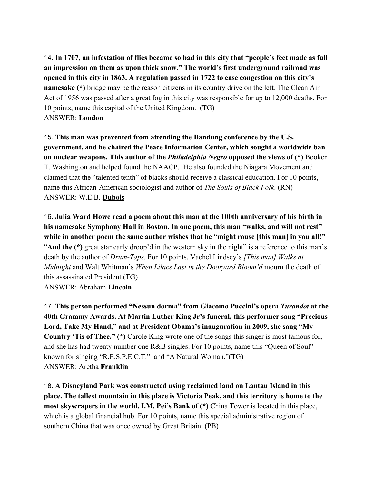14. **In 1707, an infestation of flies became so bad in this city that "people's feet made as full an impression on them as upon thick snow." The world's first underground railroad was opened in this city in 1863. A regulation passed in 1722 to ease congestion on this city's namesake (\*)** bridge may be the reason citizens in its country drive on the left. The Clean Air Act of 1956 was passed after a great fog in this city was responsible for up to 12,000 deaths. For 10 points, name this capital of the United Kingdom. (TG) ANSWER: **London**

15. **This man was prevented from attending the Bandung conference by the U.S. government, and he chaired the Peace Information Center, which sought a worldwide ban on nuclear weapons. This author of the** *Philadelphia Negro* **opposed the views of (\*)** Booker T. Washington and helped found the NAACP. He also founded the Niagara Movement and claimed that the "talented tenth" of blacks should receive a classical education. For 10 points, name this African-American sociologist and author of *The Souls of Black Folk*. (RN) ANSWER: W.E.B. **Dubois**

16. **Julia Ward Howe read a poem about this man at the 100th anniversary of his birth in his namesake Symphony Hall in Boston. In one poem, this man "walks, and will not rest"** while in another poem the same author wishes that he "might rouse [this man] in you all!" "**And the (\*)** great star early droop'd in the western sky in the night" is a reference to this man's death by the author of *Drum-Taps*. For 10 points, Vachel Lindsey's *[This man] Walks at Midnight* and Walt Whitman's *When Lilacs Last in the Dooryard Bloom'd* mourn the death of this assassinated President.(TG) ANSWER: Abraham **Lincoln**

17. **This person performed "Nessun dorma" from Giacomo Puccini's opera** *Turandot* **at the 40th Grammy Awards. At Martin Luther King Jr's funeral, this performer sang "Precious Lord, Take My Hand," and at President Obama's inauguration in 2009, she sang "My Country 'Tis of Thee." (\*)** Carole King wrote one of the songs this singer is most famous for, and she has had twenty number one R&B singles. For 10 points, name this "Queen of Soul" known for singing "R.E.S.P.E.C.T." and "A Natural Woman."(TG) ANSWER: Aretha **Franklin**

18. **A Disneyland Park was constructed using reclaimed land on Lantau Island in this place. The tallest mountain in this place is Victoria Peak, and this territory is home to the most skyscrapers in the world. I.M. Pei's Bank of (\*)** China Tower is located in this place, which is a global financial hub. For 10 points, name this special administrative region of southern China that was once owned by Great Britain. (PB)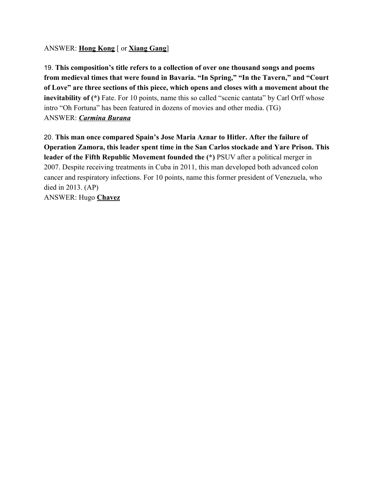#### ANSWER: **Hong Kong** [ or **Xiang Gang**]

19. **This composition's title refers to a collection of over one thousand songs and poems from medieval times that were found in Bavaria. "In Spring," "In the Tavern," and "Court of Love" are three sections of this piece, which opens and closes with a movement about the inevitability of (\*)** Fate. For 10 points, name this so called "scenic cantata" by Carl Orff whose intro "Oh Fortuna" has been featured in dozens of movies and other media. (TG) ANSWER: *Carmina Burana*

20. **This man once compared Spain's Jose Maria Aznar to Hitler. After the failure of Operation Zamora, this leader spent time in the San Carlos stockade and Yare Prison. This leader of the Fifth Republic Movement founded the (\*)** PSUV after a political merger in 2007. Despite receiving treatments in Cuba in 2011, this man developed both advanced colon cancer and respiratory infections. For 10 points, name this former president of Venezuela, who died in 2013. (AP) ANSWER: Hugo **Chavez**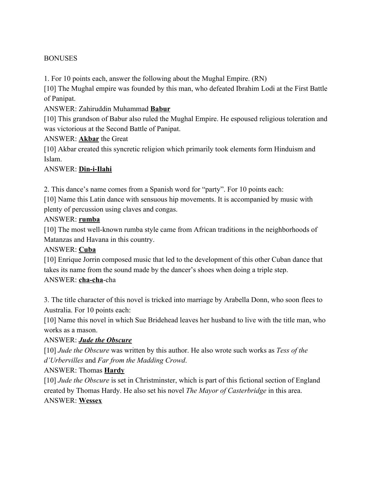#### **BONUSES**

1. For 10 points each, answer the following about the Mughal Empire. (RN)

[10] The Mughal empire was founded by this man, who defeated Ibrahim Lodi at the First Battle of Panipat.

#### ANSWER: Zahiruddin Muhammad **Babur**

[10] This grandson of Babur also ruled the Mughal Empire. He espoused religious toleration and was victorious at the Second Battle of Panipat.

#### ANSWER: **Akbar** the Great

[10] Akbar created this syncretic religion which primarily took elements form Hinduism and Islam.

#### ANSWER: **Din-i-Ilahi**

2. This dance's name comes from a Spanish word for "party". For 10 points each:

[10] Name this Latin dance with sensuous hip movements. It is accompanied by music with plenty of percussion using claves and congas.

#### ANSWER: **rumba**

[10] The most well-known rumba style came from African traditions in the neighborhoods of Matanzas and Havana in this country.

#### ANSWER: **Cuba**

[10] Enrique Jorrin composed music that led to the development of this other Cuban dance that takes its name from the sound made by the dancer's shoes when doing a triple step. ANSWER: **cha-cha**-cha

3. The title character of this novel is tricked into marriage by Arabella Donn, who soon flees to Australia. For 10 points each:

[10] Name this novel in which Sue Bridehead leaves her husband to live with the title man, who works as a mason.

#### ANSWER: *Jude the Obscure*

[10] *Jude the Obscure* was written by this author. He also wrote such works as *Tess of the d'Urbervilles* and *Far from the Madding Crowd*.

#### ANSWER: Thomas **Hardy**

[10] *Jude the Obscure* is set in Christminster, which is part of this fictional section of England created by Thomas Hardy. He also set his novel *The Mayor of Casterbridge* in this area. ANSWER: **Wessex**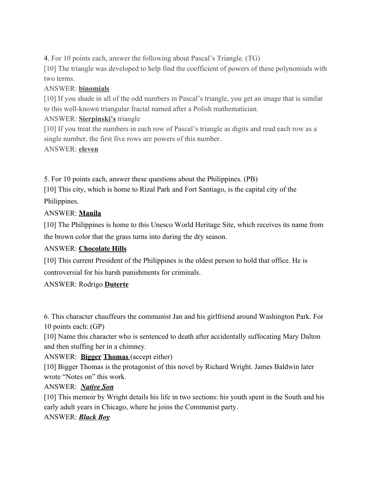4. For 10 points each, answer the following about Pascal's Triangle. (TG)

[10] The triangle was developed to help find the coefficient of powers of these polynomials with two terms.

## ANSWER: **binomials**

[10] If you shade in all of the odd numbers in Pascal's triangle, you get an image that is similar to this well-known triangular fractal named after a Polish mathematician.

## ANSWER: **Sierpinski's** triangle

[10] If you treat the numbers in each row of Pascal's triangle as digits and read each row as a single number, the first five rows are powers of this number.

ANSWER: **eleven**

5. For 10 points each, answer these questions about the Philippines. (PB)

[10] This city, which is home to Rizal Park and Fort Santiago, is the capital city of the Philippines.

## ANSWER: **Manila**

[10] The Philippines is home to this Unesco World Heritage Site, which receives its name from the brown color that the grass turns into during the dry season.

# ANSWER: **Chocolate Hills**

[10] This current President of the Philippines is the oldest person to hold that office. He is controversial for his harsh punishments for criminals.

#### ANSWER: Rodrigo **Duterte**

6. This character chauffeurs the communist Jan and his girlfriend around Washington Park. For 10 points each: (GP)

[10] Name this character who is sentenced to death after accidentally suffocating Mary Dalton and then stuffing her in a chimney.

ANSWER: **Bigger Thomas** (accept either)

[10] Bigger Thomas is the protagonist of this novel by Richard Wright. James Baldwin later wrote "Notes on" this work.

#### ANSWER: *Native Son*

[10] This memoir by Wright details his life in two sections: his youth spent in the South and his early adult years in Chicago, where he joins the Communist party.

#### ANSWER: *Black Boy*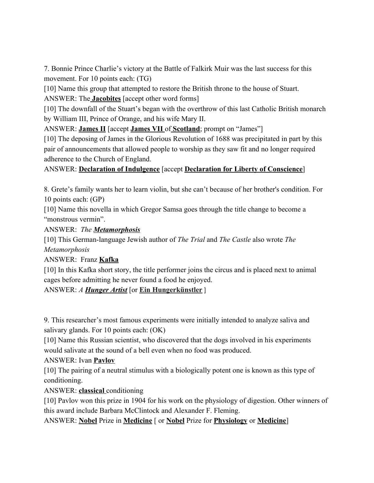7. Bonnie Prince Charlie's victory at the Battle of Falkirk Muir was the last success for this movement. For 10 points each: (TG)

[10] Name this group that attempted to restore the British throne to the house of Stuart.

ANSWER: The **Jacobites** [accept other word forms]

[10] The downfall of the Stuart's began with the overthrow of this last Catholic British monarch by William III, Prince of Orange, and his wife Mary II.

ANSWER: **James II** [accept **James VII** of **Scotland**; prompt on "James"]

[10] The deposing of James in the Glorious Revolution of 1688 was precipitated in part by this pair of announcements that allowed people to worship as they saw fit and no longer required adherence to the Church of England.

## ANSWER: **Declaration of Indulgence** [accept **Declaration for Liberty of Conscience**]

8. Grete's family wants her to learn violin, but she can't because of her brother's condition. For 10 points each: (GP)

[10] Name this novella in which Gregor Samsa goes through the title change to become a "monstrous vermin".

ANSWER: *The Metamorphosis*

[10] This German-language Jewish author of *The Trial* and *The Castle* also wrote *The Metamorphosis*

ANSWER: Franz **Kafka**

[10] In this Kafka short story, the title performer joins the circus and is placed next to animal cages before admitting he never found a food he enjoyed.

ANSWER: *A Hunger Artist* [or **Ein Hungerkünstler** ]

9. This researcher's most famous experiments were initially intended to analyze saliva and salivary glands. For 10 points each: (OK)

[10] Name this Russian scientist, who discovered that the dogs involved in his experiments would salivate at the sound of a bell even when no food was produced.

#### ANSWER: Ivan **Pavlov**

[10] The pairing of a neutral stimulus with a biologically potent one is known as this type of conditioning.

ANSWER: **classical** conditioning

[10] Pavlov won this prize in 1904 for his work on the physiology of digestion. Other winners of this award include Barbara McClintock and Alexander F. Fleming.

ANSWER: **Nobel** Prize in **Medicine** [ or **Nobel** Prize for **Physiology** or **Medicine**]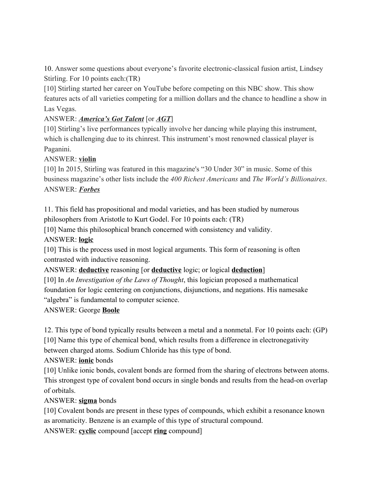10. Answer some questions about everyone's favorite electronic-classical fusion artist, Lindsey Stirling. For 10 points each:(TR)

[10] Stirling started her career on YouTube before competing on this NBC show. This show features acts of all varieties competing for a million dollars and the chance to headline a show in Las Vegas.

## ANSWER: *America's Got Talent* [or *AGT*]

[10] Stirling's live performances typically involve her dancing while playing this instrument, which is challenging due to its chinrest. This instrument's most renowned classical player is Paganini.

#### ANSWER: **violin**

[10] In 2015, Stirling was featured in this magazine's "30 Under 30" in music. Some of this business magazine's other lists include the *400 Richest Americans* and *The World's Billionaires*. ANSWER: *Forbes*

11. This field has propositional and modal varieties, and has been studied by numerous philosophers from Aristotle to Kurt Godel. For 10 points each: (TR)

[10] Name this philosophical branch concerned with consistency and validity.

#### ANSWER: **logic**

[10] This is the process used in most logical arguments. This form of reasoning is often contrasted with inductive reasoning.

#### ANSWER: **deductive** reasoning [or **deductive** logic; or logical **deduction**]

[10] In *An Investigation of the Laws of Thought*, this logician proposed a mathematical foundation for logic centering on conjunctions, disjunctions, and negations. His namesake "algebra" is fundamental to computer science.

#### ANSWER: George **Boole**

12. This type of bond typically results between a metal and a nonmetal. For 10 points each: (GP) [10] Name this type of chemical bond, which results from a difference in electronegativity between charged atoms. Sodium Chloride has this type of bond.

# ANSWER: **ionic** bonds

[10] Unlike ionic bonds, covalent bonds are formed from the sharing of electrons between atoms. This strongest type of covalent bond occurs in single bonds and results from the head-on overlap of orbitals.

#### ANSWER: **sigma** bonds

[10] Covalent bonds are present in these types of compounds, which exhibit a resonance known as aromaticity. Benzene is an example of this type of structural compound.

ANSWER: **cyclic** compound [accept **ring** compound]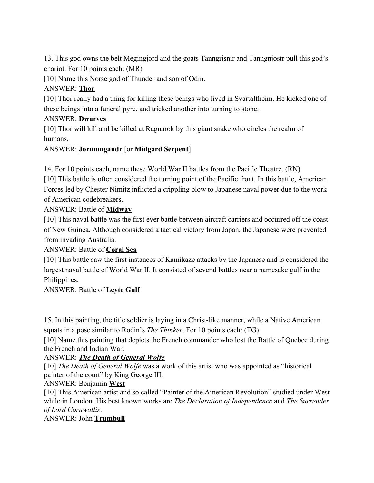13. This god owns the belt Megingjord and the goats Tanngrisnir and Tanngnjostr pull this god's chariot. For 10 points each: (MR)

[10] Name this Norse god of Thunder and son of Odin.

## ANSWER: **Thor**

[10] Thor really had a thing for killing these beings who lived in Svartalfheim. He kicked one of these beings into a funeral pyre, and tricked another into turning to stone.

#### ANSWER: **Dwarves**

[10] Thor will kill and be killed at Ragnarok by this giant snake who circles the realm of humans.

#### ANSWER: **Jormungandr** [or **Midgard Serpent**]

14. For 10 points each, name these World War II battles from the Pacific Theatre. (RN)

[10] This battle is often considered the turning point of the Pacific front. In this battle, American Forces led by Chester Nimitz inflicted a crippling blow to Japanese naval power due to the work of American codebreakers.

## ANSWER: Battle of **Midway**

[10] This naval battle was the first ever battle between aircraft carriers and occurred off the coast of New Guinea. Although considered a tactical victory from Japan, the Japanese were prevented from invading Australia.

#### ANSWER: Battle of **Coral Sea**

[10] This battle saw the first instances of Kamikaze attacks by the Japanese and is considered the largest naval battle of World War II. It consisted of several battles near a namesake gulf in the Philippines.

#### ANSWER: Battle of **Leyte Gulf**

15. In this painting, the title soldier is laying in a Christ-like manner, while a Native American squats in a pose similar to Rodin's *The Thinker*. For 10 points each: (TG)

[10] Name this painting that depicts the French commander who lost the Battle of Quebec during the French and Indian War.

#### ANSWER: *The Death of General Wolfe*

[10] *The Death of General Wolfe* was a work of this artist who was appointed as "historical painter of the court" by King George III.

#### ANSWER: Benjamin **West**

[10] This American artist and so called "Painter of the American Revolution" studied under West while in London. His best known works are *The Declaration of Independence* and *The Surrender of Lord Cornwallis*.

ANSWER: John **Trumbull**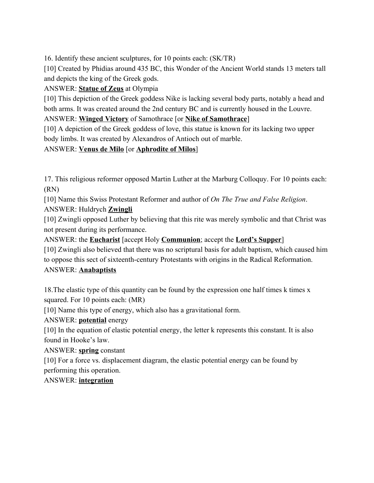16. Identify these ancient sculptures, for 10 points each: (SK/TR)

[10] Created by Phidias around 435 BC, this Wonder of the Ancient World stands 13 meters tall and depicts the king of the Greek gods.

ANSWER: **Statue of Zeus** at Olympia

[10] This depiction of the Greek goddess Nike is lacking several body parts, notably a head and both arms. It was created around the 2nd century BC and is currently housed in the Louvre.

# ANSWER: **Winged Victory** of Samothrace [or **Nike of Samothrace**]

[10] A depiction of the Greek goddess of love, this statue is known for its lacking two upper body limbs. It was created by Alexandros of Antioch out of marble.

# ANSWER: **Venus de Milo** [or **Aphrodite of Milos**]

17. This religious reformer opposed Martin Luther at the Marburg Colloquy. For 10 points each: (RN)

[10] Name this Swiss Protestant Reformer and author of *On The True and False Religion*. ANSWER: Huldrych **Zwingli**

[10] Zwingli opposed Luther by believing that this rite was merely symbolic and that Christ was not present during its performance.

ANSWER: the **Eucharist** [accept Holy **Communion**; accept the **Lord's Supper**]

[10] Zwingli also believed that there was no scriptural basis for adult baptism, which caused him to oppose this sect of sixteenth-century Protestants with origins in the Radical Reformation.

# ANSWER: **Anabaptists**

18.The elastic type of this quantity can be found by the expression one half times k times x squared. For 10 points each: (MR)

[10] Name this type of energy, which also has a gravitational form.

ANSWER: **potential** energy

[10] In the equation of elastic potential energy, the letter k represents this constant. It is also found in Hooke's law.

ANSWER: **spring** constant

[10] For a force vs. displacement diagram, the elastic potential energy can be found by performing this operation.

# ANSWER: **integration**